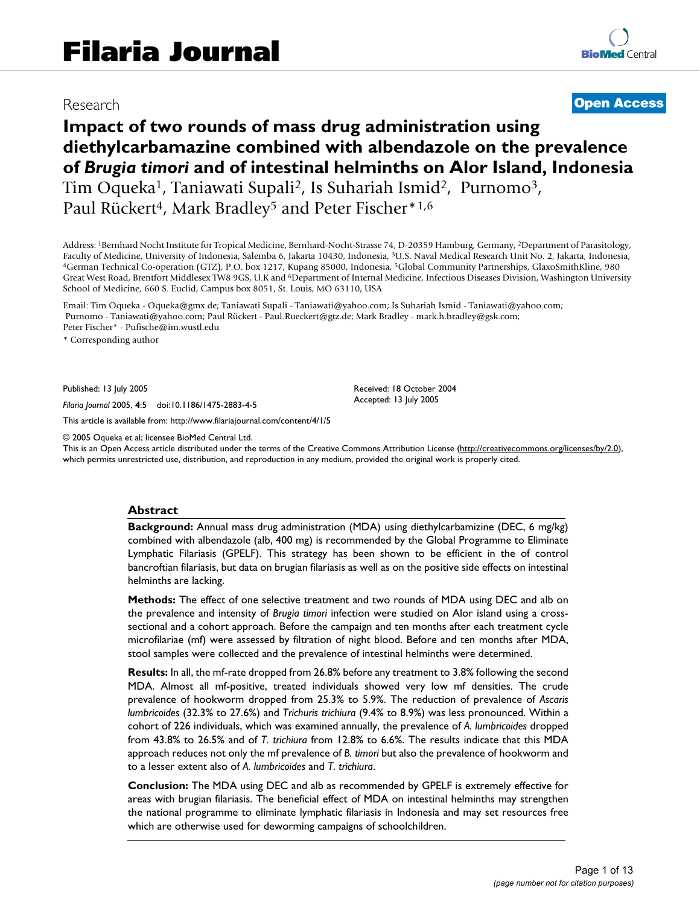# Research **[Open Access](http://www.biomedcentral.com/info/about/charter/)**

# **Impact of two rounds of mass drug administration using diethylcarbamazine combined with albendazole on the prevalence of** *Brugia timori* **and of intestinal helminths on Alor Island, Indonesia** Tim Oqueka<sup>1</sup>, Taniawati Supali<sup>2</sup>, Is Suhariah Ismid<sup>2</sup>, Purnomo<sup>3</sup>,

Paul Rückert<sup>4</sup>, Mark Bradley<sup>5</sup> and Peter Fischer<sup>\*1,6</sup>

Address: <sup>1</sup>Bernhard Nocht Institute for Tropical Medicine, Bernhard-Nocht-Strasse 74, D-20359 Hamburg, Germany, <sup>2</sup>Department of Parasitology, Faculty of Medicine, University of Indonesia, Salemba 6, Jakarta 10430, Indone 4German Technical Co-operation (GTZ), P.O. box 1217, Kupang 85000, Indonesia, 5Global Community Partnerships, GlaxoSmithKline, 980 Great West Road, Brentfort Middlesex TW8 9GS, U.K and <sup>6</sup>Department of Internal Medicine, Infectious Diseases Division, Washington University School of Medicine, 660 S. Euclid, Campus box 8051, St. Louis, MO 63110, USA

Email: Tim Oqueka - Oqueka@gmx.de; Taniawati Supali - Taniawati@yahoo.com; Is Suhariah Ismid - Taniawati@yahoo.com; Purnomo - Taniawati@yahoo.com; Paul Rückert - Paul.Rueckert@gtz.de; Mark Bradley - mark.h.bradley@gsk.com; Peter Fischer\* - Pufische@im.wustl.edu

\* Corresponding author

Published: 13 July 2005

*Filaria Journal* 2005, **4**:5 doi:10.1186/1475-2883-4-5

[This article is available from: http://www.filariajournal.com/content/4/1/5](http://www.filariajournal.com/content/4/1/5)

© 2005 Oqueka et al; licensee BioMed Central Ltd.

This is an Open Access article distributed under the terms of the Creative Commons Attribution License [\(http://creativecommons.org/licenses/by/2.0\)](http://creativecommons.org/licenses/by/2.0), which permits unrestricted use, distribution, and reproduction in any medium, provided the original work is properly cited.

Received: 18 October 2004 Accepted: 13 July 2005

#### **Abstract**

**Background:** Annual mass drug administration (MDA) using diethylcarbamizine (DEC, 6 mg/kg) combined with albendazole (alb, 400 mg) is recommended by the Global Programme to Eliminate Lymphatic Filariasis (GPELF). This strategy has been shown to be efficient in the of control bancroftian filariasis, but data on brugian filariasis as well as on the positive side effects on intestinal helminths are lacking.

**Methods:** The effect of one selective treatment and two rounds of MDA using DEC and alb on the prevalence and intensity of *Brugia timori* infection were studied on Alor island using a crosssectional and a cohort approach. Before the campaign and ten months after each treatment cycle microfilariae (mf) were assessed by filtration of night blood. Before and ten months after MDA, stool samples were collected and the prevalence of intestinal helminths were determined.

**Results:** In all, the mf-rate dropped from 26.8% before any treatment to 3.8% following the second MDA. Almost all mf-positive, treated individuals showed very low mf densities. The crude prevalence of hookworm dropped from 25.3% to 5.9%. The reduction of prevalence of *Ascaris lumbricoides* (32.3% to 27.6%) and *Trichuris trichiura* (9.4% to 8.9%) was less pronounced. Within a cohort of 226 individuals, which was examined annually, the prevalence of *A. lumbricoides* dropped from 43.8% to 26.5% and of *T. trichiura* from 12.8% to 6.6%. The results indicate that this MDA approach reduces not only the mf prevalence of *B. timori* but also the prevalence of hookworm and to a lesser extent also of *A. lumbricoides* and *T. trichiura*.

**Conclusion:** The MDA using DEC and alb as recommended by GPELF is extremely effective for areas with brugian filariasis. The beneficial effect of MDA on intestinal helminths may strengthen the national programme to eliminate lymphatic filariasis in Indonesia and may set resources free which are otherwise used for deworming campaigns of schoolchildren.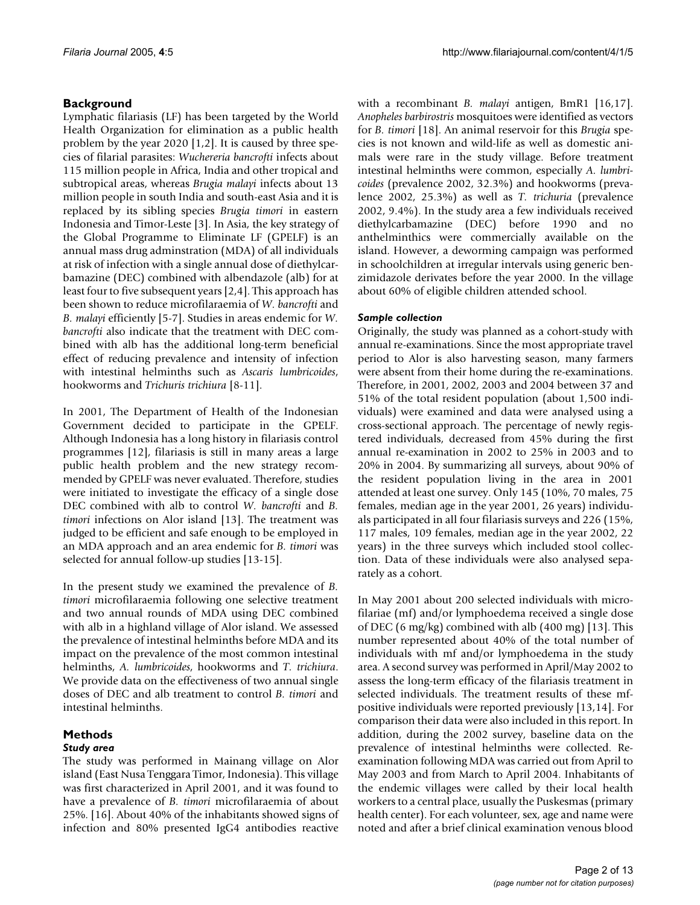# **Background**

Lymphatic filariasis (LF) has been targeted by the World Health Organization for elimination as a public health problem by the year 2020 [1,2]. It is caused by three species of filarial parasites: *Wuchereria bancrofti* infects about 115 million people in Africa, India and other tropical and subtropical areas, whereas *Brugia malayi* infects about 13 million people in south India and south-east Asia and it is replaced by its sibling species *Brugia timori* in eastern Indonesia and Timor-Leste [3]. In Asia, the key strategy of the Global Programme to Eliminate LF (GPELF) is an annual mass drug adminstration (MDA) of all individuals at risk of infection with a single annual dose of diethylcarbamazine (DEC) combined with albendazole (alb) for at least four to five subsequent years [2,4]. This approach has been shown to reduce microfilaraemia of *W. bancrofti* and *B. malayi* efficiently [5-7]. Studies in areas endemic for *W. bancrofti* also indicate that the treatment with DEC combined with alb has the additional long-term beneficial effect of reducing prevalence and intensity of infection with intestinal helminths such as *Ascaris lumbricoides*, hookworms and *Trichuris trichiura* [8-11].

In 2001, The Department of Health of the Indonesian Government decided to participate in the GPELF. Although Indonesia has a long history in filariasis control programmes [12], filariasis is still in many areas a large public health problem and the new strategy recommended by GPELF was never evaluated. Therefore, studies were initiated to investigate the efficacy of a single dose DEC combined with alb to control *W. bancrofti* and *B. timori* infections on Alor island [13]. The treatment was judged to be efficient and safe enough to be employed in an MDA approach and an area endemic for *B. timori* was selected for annual follow-up studies [13-15].

In the present study we examined the prevalence of *B. timori* microfilaraemia following one selective treatment and two annual rounds of MDA using DEC combined with alb in a highland village of Alor island. We assessed the prevalence of intestinal helminths before MDA and its impact on the prevalence of the most common intestinal helminths, *A. lumbricoides*, hookworms and *T. trichiura*. We provide data on the effectiveness of two annual single doses of DEC and alb treatment to control *B. timori* and intestinal helminths.

# **Methods**

# *Study area*

The study was performed in Mainang village on Alor island (East Nusa Tenggara Timor, Indonesia). This village was first characterized in April 2001, and it was found to have a prevalence of *B. timori* microfilaraemia of about 25%. [[16\]](#page-11-0). About 40% of the inhabitants showed signs of infection and 80% presented IgG4 antibodies reactive with a recombinant *B. malayi* antigen, BmR1 [[16,](#page-11-0)17]. *Anopheles barbirostris* mosquitoes were identified as vectors for *B. timori* [18]. An animal reservoir for this *Brugia* species is not known and wild-life as well as domestic animals were rare in the study village. Before treatment intestinal helminths were common, especially *A. lumbricoides* (prevalence 2002, 32.3%) and hookworms (prevalence 2002, 25.3%) as well as *T. trichuria* (prevalence 2002, 9.4%). In the study area a few individuals received diethylcarbamazine (DEC) before 1990 and no anthelminthics were commercially available on the island. However, a deworming campaign was performed in schoolchildren at irregular intervals using generic benzimidazole derivates before the year 2000. In the village about 60% of eligible children attended school.

# *Sample collection*

Originally, the study was planned as a cohort-study with annual re-examinations. Since the most appropriate travel period to Alor is also harvesting season, many farmers were absent from their home during the re-examinations. Therefore, in 2001, 2002, 2003 and 2004 between 37 and 51% of the total resident population (about 1,500 individuals) were examined and data were analysed using a cross-sectional approach. The percentage of newly registered individuals, decreased from 45% during the first annual re-examination in 2002 to 25% in 2003 and to 20% in 2004. By summarizing all surveys, about 90% of the resident population living in the area in 2001 attended at least one survey. Only 145 (10%, 70 males, 75 females, median age in the year 2001, 26 years) individuals participated in all four filariasis surveys and 226 (15%, 117 males, 109 females, median age in the year 2002, 22 years) in the three surveys which included stool collection. Data of these individuals were also analysed separately as a cohort.

In May 2001 about 200 selected individuals with microfilariae (mf) and/or lymphoedema received a single dose of DEC (6 mg/kg) combined with alb (400 mg) [13]. This number represented about 40% of the total number of individuals with mf and/or lymphoedema in the study area. A second survey was performed in April/May 2002 to assess the long-term efficacy of the filariasis treatment in selected individuals. The treatment results of these mfpositive individuals were reported previously [13,14]. For comparison their data were also included in this report. In addition, during the 2002 survey, baseline data on the prevalence of intestinal helminths were collected. Reexamination following MDA was carried out from April to May 2003 and from March to April 2004. Inhabitants of the endemic villages were called by their local health workers to a central place, usually the Puskesmas (primary health center). For each volunteer, sex, age and name were noted and after a brief clinical examination venous blood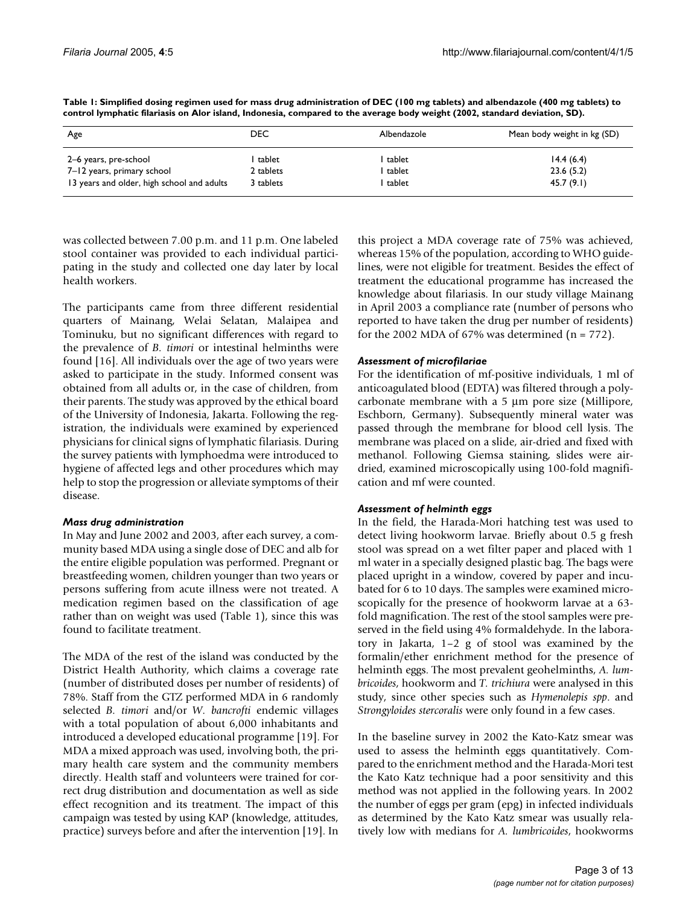| Age                                        | DEC       | Albendazole | Mean body weight in kg (SD) |
|--------------------------------------------|-----------|-------------|-----------------------------|
| 2–6 years, pre-school                      | tablet    | tablet      | 14.4(6.4)                   |
| 7-12 years, primary school                 | 2 tablets | tablet      | 23.6(5.2)                   |
| 13 years and older, high school and adults | 3 tablets | tablet      | 45.7(9.1)                   |

**Table 1: Simplified dosing regimen used for mass drug administration of DEC (100 mg tablets) and albendazole (400 mg tablets) to control lymphatic filariasis on Alor island, Indonesia, compared to the average body weight (2002, standard deviation, SD).**

was collected between 7.00 p.m. and 11 p.m. One labeled stool container was provided to each individual participating in the study and collected one day later by local health workers.

The participants came from three different residential quarters of Mainang, Welai Selatan, Malaipea and Tominuku, but no significant differences with regard to the prevalence of *B. timori* or intestinal helminths were found [[16](#page-11-0)]. All individuals over the age of two years were asked to participate in the study. Informed consent was obtained from all adults or, in the case of children, from their parents. The study was approved by the ethical board of the University of Indonesia, Jakarta. Following the registration, the individuals were examined by experienced physicians for clinical signs of lymphatic filariasis. During the survey patients with lymphoedma were introduced to hygiene of affected legs and other procedures which may help to stop the progression or alleviate symptoms of their disease.

#### *Mass drug administration*

In May and June 2002 and 2003, after each survey, a community based MDA using a single dose of DEC and alb for the entire eligible population was performed. Pregnant or breastfeeding women, children younger than two years or persons suffering from acute illness were not treated. A medication regimen based on the classification of age rather than on weight was used (Table 1), since this was found to facilitate treatment.

The MDA of the rest of the island was conducted by the District Health Authority, which claims a coverage rate (number of distributed doses per number of residents) of 78%. Staff from the GTZ performed MDA in 6 randomly selected *B. timori* and/or *W. bancrofti* endemic villages with a total population of about 6,000 inhabitants and introduced a developed educational programme [19]. For MDA a mixed approach was used, involving both, the primary health care system and the community members directly. Health staff and volunteers were trained for correct drug distribution and documentation as well as side effect recognition and its treatment. The impact of this campaign was tested by using KAP (knowledge, attitudes, practice) surveys before and after the intervention [19]. In this project a MDA coverage rate of 75% was achieved, whereas 15% of the population, according to WHO guidelines, were not eligible for treatment. Besides the effect of treatment the educational programme has increased the knowledge about filariasis. In our study village Mainang in April 2003 a compliance rate (number of persons who reported to have taken the drug per number of residents) for the 2002 MDA of 67% was determined  $(n = 772)$ .

#### *Assessment of microfilariae*

For the identification of mf-positive individuals, 1 ml of anticoagulated blood (EDTA) was filtered through a polycarbonate membrane with a 5 µm pore size (Millipore, Eschborn, Germany). Subsequently mineral water was passed through the membrane for blood cell lysis. The membrane was placed on a slide, air-dried and fixed with methanol. Following Giemsa staining, slides were airdried, examined microscopically using 100-fold magnification and mf were counted.

#### *Assessment of helminth eggs*

In the field, the Harada-Mori hatching test was used to detect living hookworm larvae. Briefly about 0.5 g fresh stool was spread on a wet filter paper and placed with 1 ml water in a specially designed plastic bag. The bags were placed upright in a window, covered by paper and incubated for 6 to 10 days. The samples were examined microscopically for the presence of hookworm larvae at a 63 fold magnification. The rest of the stool samples were preserved in the field using 4% formaldehyde. In the laboratory in Jakarta, 1–2 g of stool was examined by the formalin/ether enrichment method for the presence of helminth eggs. The most prevalent geohelminths, *A. lumbricoides*, hookworm and *T. trichiura* were analysed in this study, since other species such as *Hymenolepis spp*. and *Strongyloides stercoralis* were only found in a few cases.

In the baseline survey in 2002 the Kato-Katz smear was used to assess the helminth eggs quantitatively. Compared to the enrichment method and the Harada-Mori test the Kato Katz technique had a poor sensitivity and this method was not applied in the following years. In 2002 the number of eggs per gram (epg) in infected individuals as determined by the Kato Katz smear was usually relatively low with medians for *A. lumbricoides*, hookworms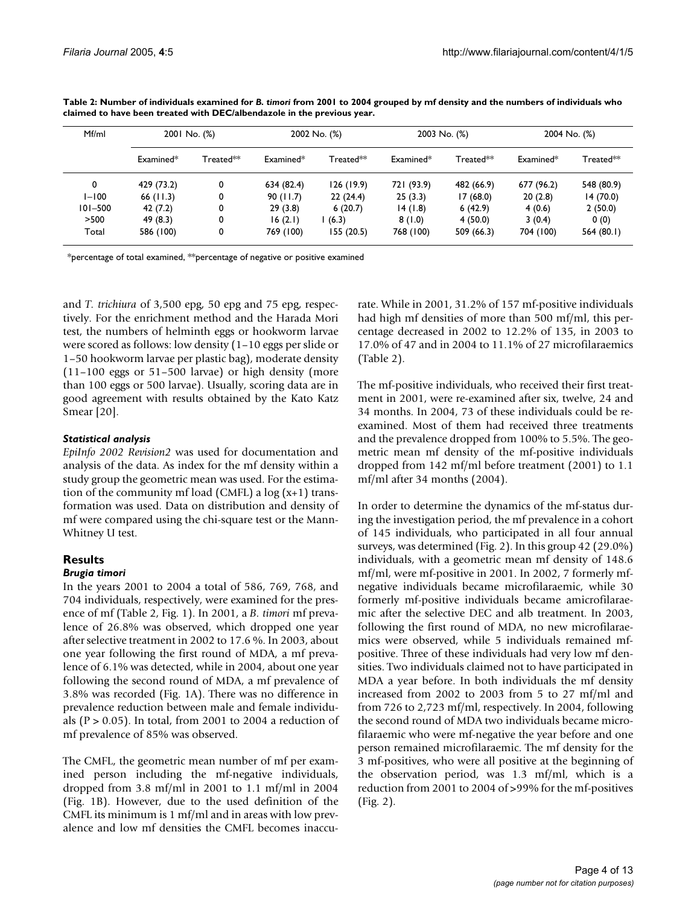| Mf/ml     | 2001 No. (%) |                     | 2002 No. (%) |             | 2003 No. (%)         |                     | 2004 No. (%) |                     |
|-----------|--------------|---------------------|--------------|-------------|----------------------|---------------------|--------------|---------------------|
|           | Examined*    | $\sf{Treated^{**}}$ | $Example 4*$ | $Treated**$ | Examine <sup>†</sup> | $\sf{Treated^{**}}$ | Examined*    | $\sf{Treated^{**}}$ |
| 0         | 429 (73.2)   | 0                   | 634 (82.4)   | 126(19.9)   | 721 (93.9)           | 482 (66.9)          | 677 (96.2)   | 548 (80.9)          |
| $1 - 100$ | 66(11.3)     | 0                   | 90(11.7)     | 22(24.4)    | 25(3.3)              | 17(68.0)            | 20(2.8)      | 14(70.0)            |
| 101-500   | 42 (7.2)     | 0                   | 29(3.8)      | 6(20.7)     | 14(1.8)              | 6(42.9)             | 4(0.6)       | 2(50.0)             |
| >500      | 49 (8.3)     | 0                   | 16(2.1)      | (6.3)       | 8(1.0)               | 4(50.0)             | 3(0.4)       | 0(0)                |
| Total     | 586 (100)    | 0                   | 769 (100)    | 155(20.5)   | 768 (100)            | 509 (66.3)          | 704 (100)    | 564 $(80.1)$        |

**Table 2: Number of individuals examined for** *B. timori* **from 2001 to 2004 grouped by mf density and the numbers of individuals who claimed to have been treated with DEC/albendazole in the previous year.**

\*percentage of total examined, \*\*percentage of negative or positive examined

and *T. trichiura* of 3,500 epg, 50 epg and 75 epg, respectively. For the enrichment method and the Harada Mori test, the numbers of helminth eggs or hookworm larvae were scored as follows: low density (1–10 eggs per slide or 1–50 hookworm larvae per plastic bag), moderate density (11–100 eggs or 51–500 larvae) or high density (more than 100 eggs or 500 larvae). Usually, scoring data are in good agreement with results obtained by the Kato Katz Smear [20].

### *Statistical analysis*

*EpiInfo 2002 Revision2* was used for documentation and analysis of the data. As index for the mf density within a study group the geometric mean was used. For the estimation of the community mf load (CMFL) a  $log(x+1)$  transformation was used. Data on distribution and density of mf were compared using the chi-square test or the Mann-Whitney U test.

# **Results**

### *Brugia timori*

In the years 2001 to 2004 a total of 586, 769, 768, and 704 individuals, respectively, were examined for the presence of mf (Table 2, Fig. [1](#page-4-0)). In 2001, a *B. timori* mf prevalence of 26.8% was observed, which dropped one year after selective treatment in 2002 to 17.6 %. In 2003, about one year following the first round of MDA, a mf prevalence of 6.1% was detected, while in 2004, about one year following the second round of MDA, a mf prevalence of 3.8% was recorded (Fig. [1A](#page-4-0)). There was no difference in prevalence reduction between male and female individuals ( $P > 0.05$ ). In total, from 2001 to 2004 a reduction of mf prevalence of 85% was observed.

The CMFL, the geometric mean number of mf per examined person including the mf-negative individuals, dropped from 3.8 mf/ml in 2001 to 1.1 mf/ml in 2004 (Fig. [1](#page-4-0)B). However, due to the used definition of the CMFL its minimum is 1 mf/ml and in areas with low prevalence and low mf densities the CMFL becomes inaccurate. While in 2001, 31.2% of 157 mf-positive individuals had high mf densities of more than 500 mf/ml, this percentage decreased in 2002 to 12.2% of 135, in 2003 to 17.0% of 47 and in 2004 to 11.1% of 27 microfilaraemics (Table 2).

The mf-positive individuals, who received their first treatment in 2001, were re-examined after six, twelve, 24 and 34 months. In 2004, 73 of these individuals could be reexamined. Most of them had received three treatments and the prevalence dropped from 100% to 5.5%. The geometric mean mf density of the mf-positive individuals dropped from 142 mf/ml before treatment (2001) to 1.1 mf/ml after 34 months (2004).

In order to determine the dynamics of the mf-status during the investigation period, the mf prevalence in a cohort of 145 individuals, who participated in all four annual surveys, was determined (Fig. 2). In this group 42 (29.0%) individuals, with a geometric mean mf density of 148.6 mf/ml, were mf-positive in 2001. In 2002, 7 formerly mfnegative individuals became microfilaraemic, while 30 formerly mf-positive individuals became amicrofilaraemic after the selective DEC and alb treatment. In 2003, following the first round of MDA, no new microfilaraemics were observed, while 5 individuals remained mfpositive. Three of these individuals had very low mf densities. Two individuals claimed not to have participated in MDA a year before. In both individuals the mf density increased from 2002 to 2003 from 5 to 27 mf/ml and from 726 to 2,723 mf/ml, respectively. In 2004, following the second round of MDA two individuals became microfilaraemic who were mf-negative the year before and one person remained microfilaraemic. The mf density for the 3 mf-positives, who were all positive at the beginning of the observation period, was 1.3 mf/ml, which is a reduction from 2001 to 2004 of >99% for the mf-positives (Fig. 2).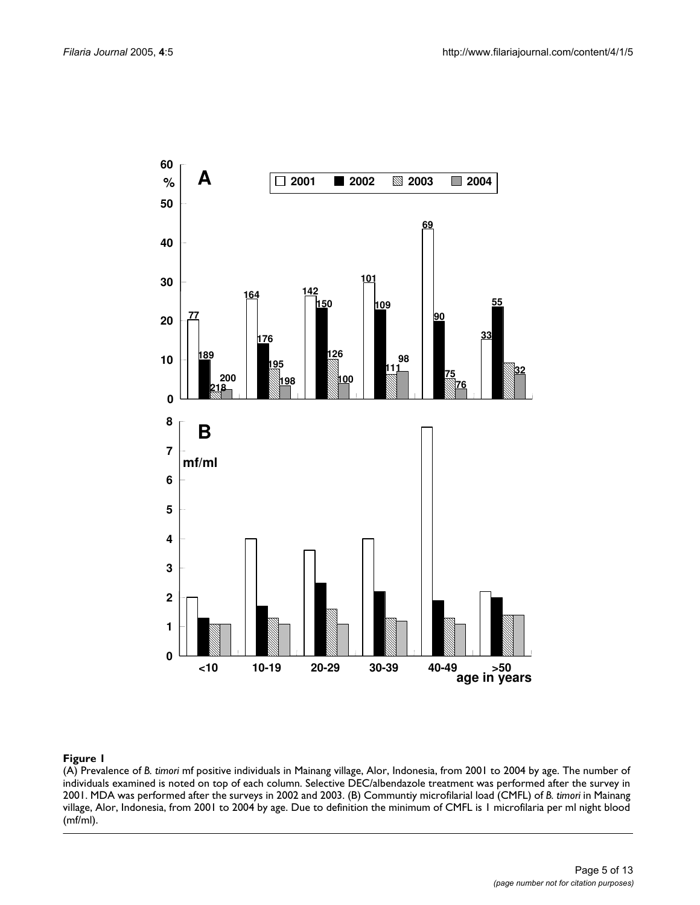<span id="page-4-0"></span>

#### **Figure 1** (A) Prevalence of *B. timori* mf positive individuals in Mainang village, Alor, Indonesia, from 2001 to 2004 by age

(A) Prevalence of *B. timori* mf positive individuals in Mainang village, Alor, Indonesia, from 2001 to 2004 by age. The number of individuals examined is noted on top of each column. Selective DEC/albendazole treatment was performed after the survey in 2001. MDA was performed after the surveys in 2002 and 2003. (B) Communtiy microfilarial load (CMFL) of *B. timori* in Mainang village, Alor, Indonesia, from 2001 to 2004 by age. Due to definition the minimum of CMFL is 1 microfilaria per ml night blood (mf/ml).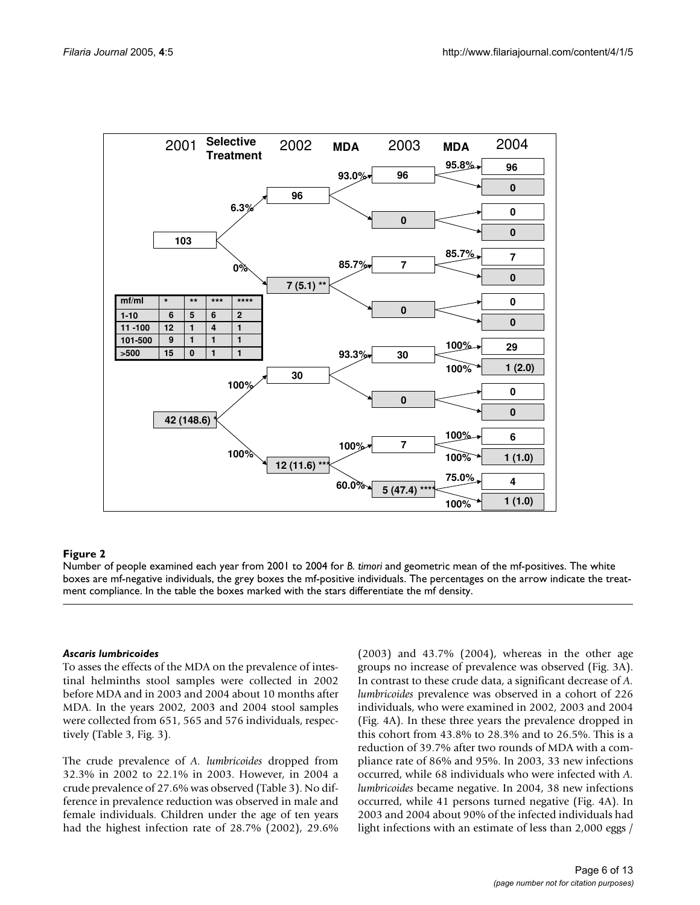

#### Number of people examined each year from 2001 to 2004 for **Figure 2** *B. timori* and geometric mean of the mf-positives

Number of people examined each year from 2001 to 2004 for *B. timori* and geometric mean of the mf-positives. The white boxes are mf-negative individuals, the grey boxes the mf-positive individuals. The percentages on the arrow indicate the treatment compliance. In the table the boxes marked with the stars differentiate the mf density.

#### *Ascaris lumbricoides*

To asses the effects of the MDA on the prevalence of intestinal helminths stool samples were collected in 2002 before MDA and in 2003 and 2004 about 10 months after MDA. In the years 2002, 2003 and 2004 stool samples were collected from 651, 565 and 576 individuals, respectively (Table [3](#page-6-0), Fig. [3](#page-7-0)).

The crude prevalence of *A. lumbricoides* dropped from 32.3% in 2002 to 22.1% in 2003. However, in 2004 a crude prevalence of 27.6% was observed (Table [3](#page-6-0)). No difference in prevalence reduction was observed in male and female individuals. Children under the age of ten years had the highest infection rate of 28.7% (2002), 29.6%

(2003) and 43.7% (2004), whereas in the other age groups no increase of prevalence was observed (Fig. [3](#page-7-0)A). In contrast to these crude data, a significant decrease of *A. lumbricoides* prevalence was observed in a cohort of 226 individuals, who were examined in 2002, 2003 and 2004 (Fig. 4A). In these three years the prevalence dropped in this cohort from 43.8% to 28.3% and to 26.5%. This is a reduction of 39.7% after two rounds of MDA with a compliance rate of 86% and 95%. In 2003, 33 new infections occurred, while 68 individuals who were infected with *A. lumbricoides* became negative. In 2004, 38 new infections occurred, while 41 persons turned negative (Fig. 4A). In 2003 and 2004 about 90% of the infected individuals had light infections with an estimate of less than 2,000 eggs /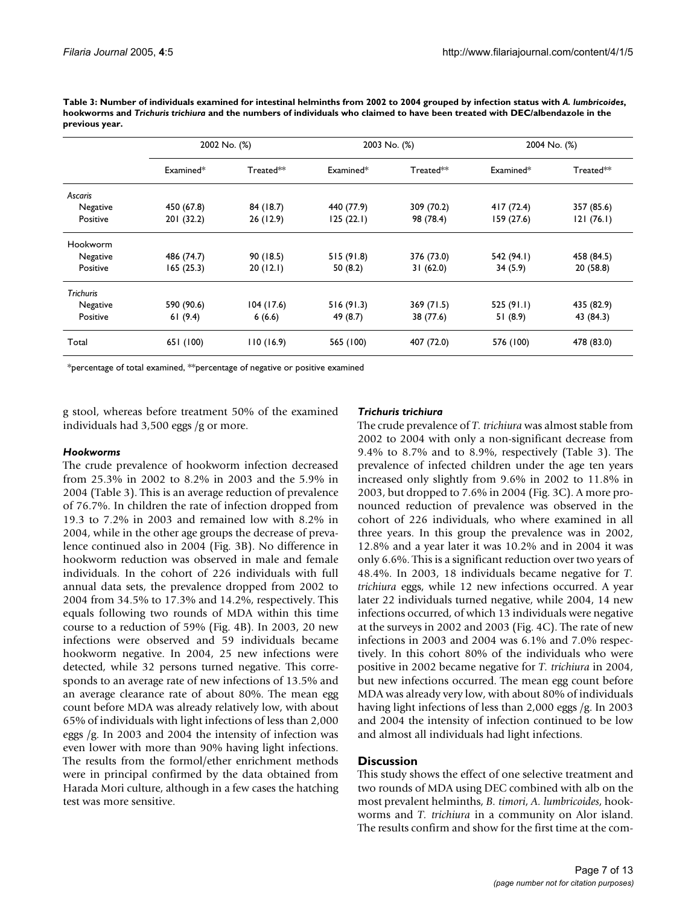|                  | 2002 No. (%) |           | 2003 No. (%) |            | 2004 No. (%) |            |
|------------------|--------------|-----------|--------------|------------|--------------|------------|
|                  | Examined*    | Treated** | Examined*    | Treated**  | Examined*    | Treated**  |
| Ascaris          |              |           |              |            |              |            |
| Negative         | 450 (67.8)   | 84 (18.7) | 440 (77.9)   | 309 (70.2) | 417(72.4)    | 357 (85.6) |
| Positive         | 201 (32.2)   | 26 (12.9) | 125(22.1)    | 98 (78.4)  | 159(27.6)    | 121(76.1)  |
| Hookworm         |              |           |              |            |              |            |
| Negative         | 486 (74.7)   | 90 (18.5) | 515(91.8)    | 376 (73.0) | 542 (94.1)   | 458 (84.5) |
| Positive         | 165(25.3)    | 20(12.1)  | 50(8.2)      | 31(62.0)   | 34 (5.9)     | 20(58.8)   |
| <b>Trichuris</b> |              |           |              |            |              |            |
| Negative         | 590 (90.6)   | 104(17.6) | 516(91.3)    | 369 (71.5) | 525(91.1)    | 435 (82.9) |
| Positive         | 61(9.4)      | 6(6.6)    | 49 (8.7)     | 38 (77.6)  | 51(8.9)      | 43 (84.3)  |
| Total            | 651 (100)    | 110(16.9) | 565 (100)    | 407 (72.0) | 576 (100)    | 478 (83.0) |

<span id="page-6-0"></span>**Table 3: Number of individuals examined for intestinal helminths from 2002 to 2004 grouped by infection status with** *A. lumbricoides***, hookworms and** *Trichuris trichiura* **and the numbers of individuals who claimed to have been treated with DEC/albendazole in the previous year.**

\*percentage of total examined, \*\*percentage of negative or positive examined

g stool, whereas before treatment 50% of the examined individuals had 3,500 eggs /g or more.

#### *Hookworms*

The crude prevalence of hookworm infection decreased from 25.3% in 2002 to 8.2% in 2003 and the 5.9% in 2004 (Table [3\)](#page-6-0). This is an average reduction of prevalence of 76.7%. In children the rate of infection dropped from 19.3 to 7.2% in 2003 and remained low with 8.2% in 2004, while in the other age groups the decrease of prevalence continued also in 2004 (Fig. [3B](#page-7-0)). No difference in hookworm reduction was observed in male and female individuals. In the cohort of 226 individuals with full annual data sets, the prevalence dropped from 2002 to 2004 from 34.5% to 17.3% and 14.2%, respectively. This equals following two rounds of MDA within this time course to a reduction of 59% (Fig. 4B). In 2003, 20 new infections were observed and 59 individuals became hookworm negative. In 2004, 25 new infections were detected, while 32 persons turned negative. This corresponds to an average rate of new infections of 13.5% and an average clearance rate of about 80%. The mean egg count before MDA was already relatively low, with about 65% of individuals with light infections of less than 2,000 eggs /g. In 2003 and 2004 the intensity of infection was even lower with more than 90% having light infections. The results from the formol/ether enrichment methods were in principal confirmed by the data obtained from Harada Mori culture, although in a few cases the hatching test was more sensitive.

### *Trichuris trichiura*

The crude prevalence of *T. trichiura* was almost stable from 2002 to 2004 with only a non-significant decrease from 9.4% to 8.7% and to 8.9%, respectively (Table [3](#page-6-0)). The prevalence of infected children under the age ten years increased only slightly from 9.6% in 2002 to 11.8% in 2003, but dropped to 7.6% in 2004 (Fig. [3C](#page-7-0)). A more pronounced reduction of prevalence was observed in the cohort of 226 individuals, who where examined in all three years. In this group the prevalence was in 2002, 12.8% and a year later it was 10.2% and in 2004 it was only 6.6%. This is a significant reduction over two years of 48.4%. In 2003, 18 individuals became negative for *T. trichiura* eggs, while 12 new infections occurred. A year later 22 individuals turned negative, while 2004, 14 new infections occurred, of which 13 individuals were negative at the surveys in 2002 and 2003 (Fig. 4C). The rate of new infections in 2003 and 2004 was 6.1% and 7.0% respectively. In this cohort 80% of the individuals who were positive in 2002 became negative for *T. trichiura* in 2004, but new infections occurred. The mean egg count before MDA was already very low, with about 80% of individuals having light infections of less than 2,000 eggs /g. In 2003 and 2004 the intensity of infection continued to be low and almost all individuals had light infections.

# **Discussion**

This study shows the effect of one selective treatment and two rounds of MDA using DEC combined with alb on the most prevalent helminths, *B. timori*, *A. lumbricoides*, hookworms and *T. trichiura* in a community on Alor island. The results confirm and show for the first time at the com-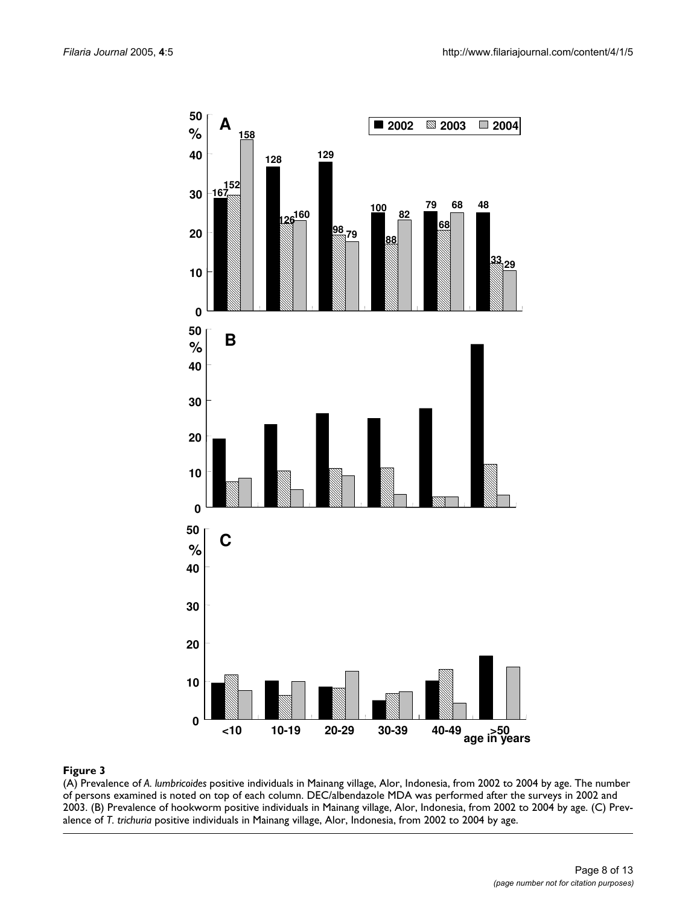<span id="page-7-0"></span>

(A) Prevalence of *A. lumbricoides* positive individuals in Mainang village, Alor, Indonesia, from 2002 to 2004 by age. The number of persons examined is noted on top of each column. DEC/albendazole MDA was performed after the surveys in 2002 and 2003. (B) Prevalence of hookworm positive individuals in Mainang village, Alor, Indonesia, from 2002 to 2004 by age. (C) Prevalence of *T. trichuria* positive individuals in Mainang village, Alor, Indonesia, from 2002 to 2004 by age.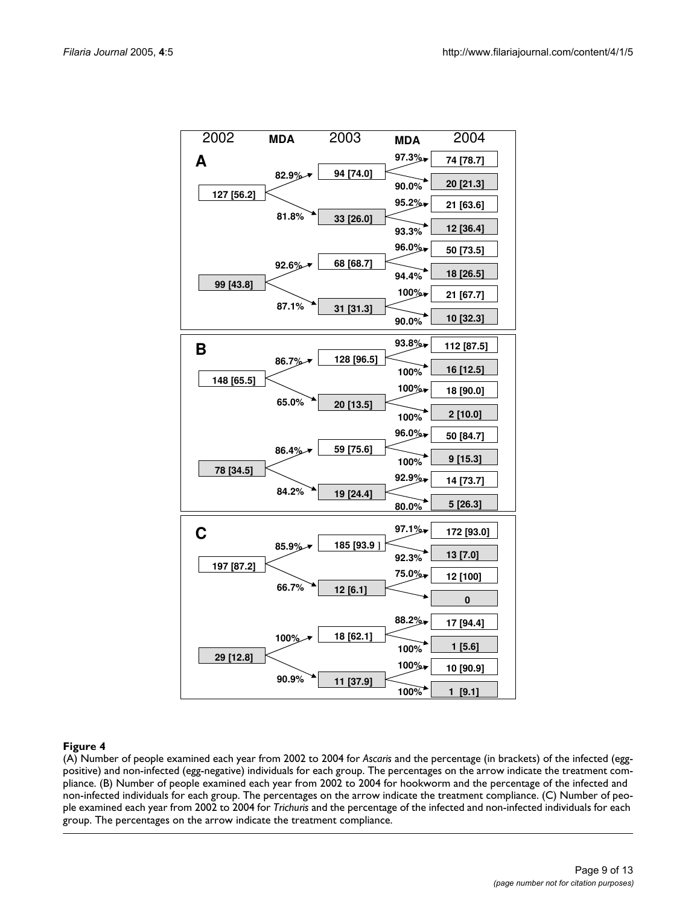

#### (A) Number of people examined each year from 2002 to 2004 for positive) and non-infected (egg-negative) individuals for each group **Figure 4** *Ascaris* and the percentage (in brackets) of the infected (egg-

(A) Number of people examined each year from 2002 to 2004 for *Ascaris* and the percentage (in brackets) of the infected (eggpositive) and non-infected (egg-negative) individuals for each group. The percentages on the arrow indicate the treatment compliance. (B) Number of people examined each year from 2002 to 2004 for hookworm and the percentage of the infected and non-infected individuals for each group. The percentages on the arrow indicate the treatment compliance. (C) Number of people examined each year from 2002 to 2004 for *Trichuris* and the percentage of the infected and non-infected individuals for each group. The percentages on the arrow indicate the treatment compliance.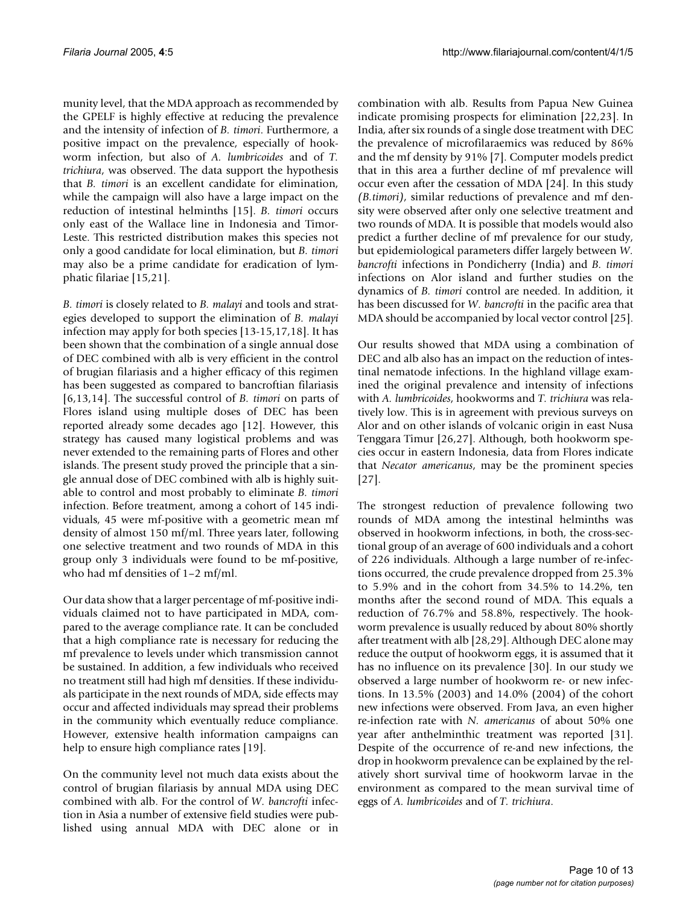munity level, that the MDA approach as recommended by the GPELF is highly effective at reducing the prevalence and the intensity of infection of *B. timori*. Furthermore, a positive impact on the prevalence, especially of hookworm infection, but also of *A. lumbricoides* and of *T. trichiura*, was observed. The data support the hypothesis that *B. timori* is an excellent candidate for elimination, while the campaign will also have a large impact on the reduction of intestinal helminths [15]. *B. timori* occurs only east of the Wallace line in Indonesia and Timor-Leste. This restricted distribution makes this species not only a good candidate for local elimination, but *B. timori* may also be a prime candidate for eradication of lymphatic filariae [15,21].

*B. timori* is closely related to *B. malayi* and tools and strategies developed to support the elimination of *B. malayi* infection may apply for both species [13-15,17,18]. It has been shown that the combination of a single annual dose of DEC combined with alb is very efficient in the control of brugian filariasis and a higher efficacy of this regimen has been suggested as compared to bancroftian filariasis [6,13,14]. The successful control of *B. timori* on parts of Flores island using multiple doses of DEC has been reported already some decades ago [12]. However, this strategy has caused many logistical problems and was never extended to the remaining parts of Flores and other islands. The present study proved the principle that a single annual dose of DEC combined with alb is highly suitable to control and most probably to eliminate *B. timori* infection. Before treatment, among a cohort of 145 individuals, 45 were mf-positive with a geometric mean mf density of almost 150 mf/ml. Three years later, following one selective treatment and two rounds of MDA in this group only 3 individuals were found to be mf-positive, who had mf densities of 1–2 mf/ml.

Our data show that a larger percentage of mf-positive individuals claimed not to have participated in MDA, compared to the average compliance rate. It can be concluded that a high compliance rate is necessary for reducing the mf prevalence to levels under which transmission cannot be sustained. In addition, a few individuals who received no treatment still had high mf densities. If these individuals participate in the next rounds of MDA, side effects may occur and affected individuals may spread their problems in the community which eventually reduce compliance. However, extensive health information campaigns can help to ensure high compliance rates [19].

On the community level not much data exists about the control of brugian filariasis by annual MDA using DEC combined with alb. For the control of *W. bancrofti* infection in Asia a number of extensive field studies were published using annual MDA with DEC alone or in combination with alb. Results from Papua New Guinea indicate promising prospects for elimination [22,23]. In India, after six rounds of a single dose treatment with DEC the prevalence of microfilaraemics was reduced by 86% and the mf density by 91% [7]. Computer models predict that in this area a further decline of mf prevalence will occur even after the cessation of MDA [24]. In this study *(B.timori)*, similar reductions of prevalence and mf density were observed after only one selective treatment and two rounds of MDA. It is possible that models would also predict a further decline of mf prevalence for our study, but epidemiological parameters differ largely between *W. bancrofti* infections in Pondicherry (India) and *B. timori* infections on Alor island and further studies on the dynamics of *B. timori* control are needed. In addition, it has been discussed for *W. bancrofti* in the pacific area that MDA should be accompanied by local vector control [25].

Our results showed that MDA using a combination of DEC and alb also has an impact on the reduction of intestinal nematode infections. In the highland village examined the original prevalence and intensity of infections with *A. lumbricoides*, hookworms and *T. trichiura* was relatively low. This is in agreement with previous surveys on Alor and on other islands of volcanic origin in east Nusa Tenggara Timur [26,27]. Although, both hookworm species occur in eastern Indonesia, data from Flores indicate that *Necator americanus*, may be the prominent species [27].

The strongest reduction of prevalence following two rounds of MDA among the intestinal helminths was observed in hookworm infections, in both, the cross-sectional group of an average of 600 individuals and a cohort of 226 individuals. Although a large number of re-infections occurred, the crude prevalence dropped from 25.3% to 5.9% and in the cohort from 34.5% to 14.2%, ten months after the second round of MDA. This equals a reduction of 76.7% and 58.8%, respectively. The hookworm prevalence is usually reduced by about 80% shortly after treatment with alb [28,29]. Although DEC alone may reduce the output of hookworm eggs, it is assumed that it has no influence on its prevalence [30]. In our study we observed a large number of hookworm re- or new infections. In 13.5% (2003) and 14.0% (2004) of the cohort new infections were observed. From Java, an even higher re-infection rate with *N. americanus* of about 50% one year after anthelminthic treatment was reported [31]. Despite of the occurrence of re-and new infections, the drop in hookworm prevalence can be explained by the relatively short survival time of hookworm larvae in the environment as compared to the mean survival time of eggs of *A. lumbricoides* and of *T. trichiura*.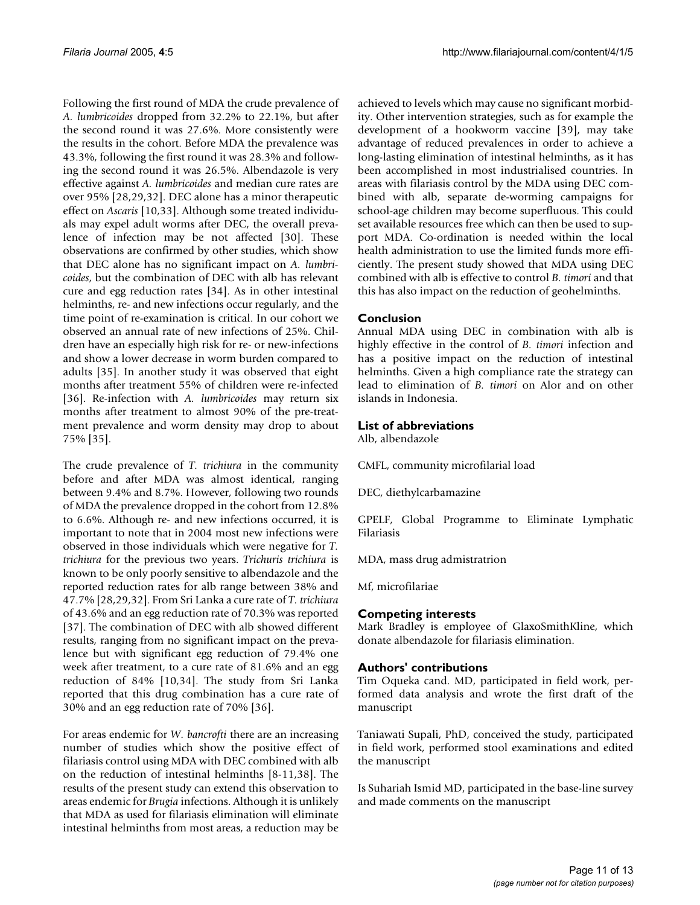Following the first round of MDA the crude prevalence of *A. lumbricoides* dropped from 32.2% to 22.1%, but after the second round it was 27.6%. More consistently were the results in the cohort. Before MDA the prevalence was 43.3%, following the first round it was 28.3% and following the second round it was 26.5%. Albendazole is very effective against *A. lumbricoides* and median cure rates are over 95% [28,29,32]. DEC alone has a minor therapeutic effect on *Ascaris* [10,33]. Although some treated individuals may expel adult worms after DEC, the overall prevalence of infection may be not affected [30]. These observations are confirmed by other studies, which show that DEC alone has no significant impact on *A. lumbricoides*, but the combination of DEC with alb has relevant cure and egg reduction rates [\[34](#page-12-0)]. As in other intestinal helminths, re- and new infections occur regularly, and the time point of re-examination is critical. In our cohort we observed an annual rate of new infections of 25%. Children have an especially high risk for re- or new-infections and show a lower decrease in worm burden compared to adults [35]. In another study it was observed that eight months after treatment 55% of children were re-infected [36]. Re-infection with *A. lumbricoides* may return six months after treatment to almost 90% of the pre-treatment prevalence and worm density may drop to about 75% [35].

The crude prevalence of *T. trichiura* in the community before and after MDA was almost identical, ranging between 9.4% and 8.7%. However, following two rounds of MDA the prevalence dropped in the cohort from 12.8% to 6.6%. Although re- and new infections occurred, it is important to note that in 2004 most new infections were observed in those individuals which were negative for *T. trichiura* for the previous two years. *Trichuris trichiura* is known to be only poorly sensitive to albendazole and the reported reduction rates for alb range between 38% and 47.7% [28,29,32]. From Sri Lanka a cure rate of *T. trichiura* of 43.6% and an egg reduction rate of 70.3% was reported [37]. The combination of DEC with alb showed different results, ranging from no significant impact on the prevalence but with significant egg reduction of 79.4% one week after treatment, to a cure rate of 81.6% and an egg reduction of 84% [10,[34\]](#page-12-0). The study from Sri Lanka reported that this drug combination has a cure rate of 30% and an egg reduction rate of 70% [36].

For areas endemic for *W. bancrofti* there are an increasing number of studies which show the positive effect of filariasis control using MDA with DEC combined with alb on the reduction of intestinal helminths [8-11,38]. The results of the present study can extend this observation to areas endemic for *Brugia* infections. Although it is unlikely that MDA as used for filariasis elimination will eliminate intestinal helminths from most areas, a reduction may be achieved to levels which may cause no significant morbidity. Other intervention strategies, such as for example the development of a hookworm vaccine [39], may take advantage of reduced prevalences in order to achieve a long-lasting elimination of intestinal helminths, as it has been accomplished in most industrialised countries. In areas with filariasis control by the MDA using DEC combined with alb, separate de-worming campaigns for school-age children may become superfluous. This could set available resources free which can then be used to support MDA. Co-ordination is needed within the local health administration to use the limited funds more efficiently. The present study showed that MDA using DEC combined with alb is effective to control *B. timori* and that this has also impact on the reduction of geohelminths.

# **Conclusion**

Annual MDA using DEC in combination with alb is highly effective in the control of *B. timori* infection and has a positive impact on the reduction of intestinal helminths. Given a high compliance rate the strategy can lead to elimination of *B. timori* on Alor and on other islands in Indonesia.

# **List of abbreviations**

Alb, albendazole

CMFL, community microfilarial load

DEC, diethylcarbamazine

GPELF, Global Programme to Eliminate Lymphatic Filariasis

MDA, mass drug admistratrion

Mf, microfilariae

# **Competing interests**

Mark Bradley is employee of GlaxoSmithKline, which donate albendazole for filariasis elimination.

# **Authors' contributions**

Tim Oqueka cand. MD, participated in field work, performed data analysis and wrote the first draft of the manuscript

Taniawati Supali, PhD, conceived the study, participated in field work, performed stool examinations and edited the manuscript

Is Suhariah Ismid MD, participated in the base-line survey and made comments on the manuscript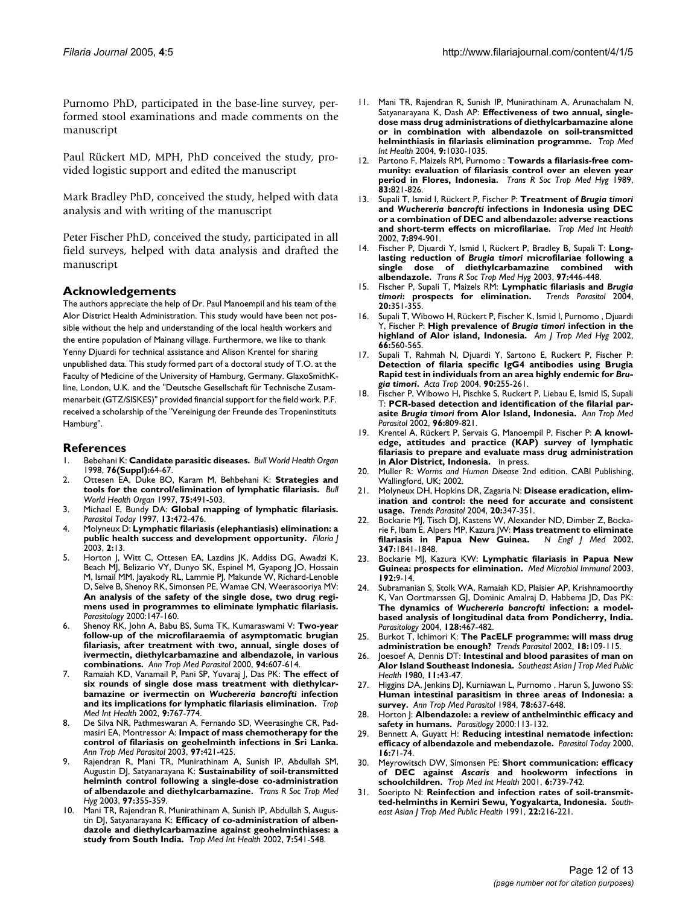Purnomo PhD, participated in the base-line survey, performed stool examinations and made comments on the manuscript

Paul Rückert MD, MPH, PhD conceived the study, provided logistic support and edited the manuscript

Mark Bradley PhD, conceived the study, helped with data analysis and with writing of the manuscript

Peter Fischer PhD, conceived the study, participated in all field surveys, helped with data analysis and drafted the manuscript

#### **Acknowledgements**

The authors appreciate the help of Dr. Paul Manoempil and his team of the Alor District Health Administration. This study would have been not possible without the help and understanding of the local health workers and the entire population of Mainang village. Furthermore, we like to thank Yenny Djuardi for technical assistance and Alison Krentel for sharing unpublished data. This study formed part of a doctoral study of T.O. at the Faculty of Medicine of the University of Hamburg, Germany. GlaxoSmithKline, London, U.K. and the "Deutsche Gesellschaft für Technische Zusammenarbeit (GTZ/SISKES)" provided financial support for the field work. P.F. received a scholarship of the "Vereinigung der Freunde des Tropeninstituts Hamburg".

### **References**

- 1. Bebehani K: **Candidate parasitic diseases.** *Bull World Health Organ* 1998, **76(Suppl):**64-67.
- 2. Ottesen EA, Duke BO, Karam M, Behbehani K: **[Strategies and](http://www.ncbi.nlm.nih.gov/entrez/query.fcgi?cmd=Retrieve&db=PubMed&dopt=Abstract&list_uids=9509621) [tools for the control/elimination of lymphatic filariasis.](http://www.ncbi.nlm.nih.gov/entrez/query.fcgi?cmd=Retrieve&db=PubMed&dopt=Abstract&list_uids=9509621)** *Bull World Health Organ* 1997, **75:**491-503.
- 3. Michael E, Bundy DA: **[Global mapping of lymphatic filariasis.](http://www.ncbi.nlm.nih.gov/entrez/query.fcgi?cmd=Retrieve&db=PubMed&dopt=Abstract&list_uids=15275135)** *Parasitol Today* 1997, **13:**472-476.
- 4. Molyneux D: **[Lymphatic filariasis \(elephantiasis\) elimination: a](http://www.ncbi.nlm.nih.gov/entrez/query.fcgi?cmd=Retrieve&db=PubMed&dopt=Abstract&list_uids=13129436) [public health success and development opportunity.](http://www.ncbi.nlm.nih.gov/entrez/query.fcgi?cmd=Retrieve&db=PubMed&dopt=Abstract&list_uids=13129436)** *Filaria J* 2003, **2:**13.
- Horton J, Witt C, Ottesen EA, Lazdins JK, Addiss DG, Awadzi K, Beach MJ, Belizario VY, Dunyo SK, Espinel M, Gyapong JO, Hossain M, Ismail MM, Jayakody RL, Lammie PJ, Makunde W, Richard-Lenoble D, Selve B, Shenoy RK, Simonsen PE, Wamae CN, Weerasooriya MV: **An analysis of the safety of the single dose, two drug regimens used in programmes to eliminate lymphatic filariasis.** *Parasitology* 2000:147-160.
- 6. Shenoy RK, John A, Babu BS, Suma TK, Kumaraswami V: **[Two-year](http://www.ncbi.nlm.nih.gov/entrez/query.fcgi?cmd=Retrieve&db=PubMed&dopt=Abstract&list_uids=11064762) follow-up of the microfilaraemia of asymptomatic brugian [filariasis, after treatment with two, annual, single doses of](http://www.ncbi.nlm.nih.gov/entrez/query.fcgi?cmd=Retrieve&db=PubMed&dopt=Abstract&list_uids=11064762) ivermectin, diethylcarbamazine and albendazole, in various [combinations.](http://www.ncbi.nlm.nih.gov/entrez/query.fcgi?cmd=Retrieve&db=PubMed&dopt=Abstract&list_uids=11064762)** *Ann Trop Med Parasitol* 2000, **94:**607-614.
- 7. Ramaiah KD, Vanamail P, Pani SP, Yuvaraj J, Das PK: **The effect of six rounds of single dose mass treatment with diethylcarbamazine or ivermectin on** *Wuchereria bancrofti* **infection and its implications for lymphatic filariasis elimination.** *Trop Med Int Health* 2002, **9:**767-774.
- 8. De Silva NR, Pathmeswaran A, Fernando SD, Weerasinghe CR, Padmasiri EA, Montressor A: **[Impact of mass chemotherapy for the](http://www.ncbi.nlm.nih.gov/entrez/query.fcgi?cmd=Retrieve&db=PubMed&dopt=Abstract&list_uids=12831528) [control of filariasis on geohelminth infections in Sri Lanka.](http://www.ncbi.nlm.nih.gov/entrez/query.fcgi?cmd=Retrieve&db=PubMed&dopt=Abstract&list_uids=12831528)** *Ann Trop Med Parasitol* 2003, **97:**421-425.
- 9. Rajendran R, Mani TR, Munirathinam A, Sunish IP, Abdullah SM, Augustin DJ, Satyanarayana K: **[Sustainability of soil-transmitted](http://www.ncbi.nlm.nih.gov/entrez/query.fcgi?cmd=Retrieve&db=PubMed&dopt=Abstract&list_uids=15228259) [helminth control following a single-dose co-administration](http://www.ncbi.nlm.nih.gov/entrez/query.fcgi?cmd=Retrieve&db=PubMed&dopt=Abstract&list_uids=15228259) [of albendazole and diethylcarbamazine.](http://www.ncbi.nlm.nih.gov/entrez/query.fcgi?cmd=Retrieve&db=PubMed&dopt=Abstract&list_uids=15228259)** *Trans R Soc Trop Med Hyg* 2003, **97:**355-359.
- 10. Mani TR, Rajendran R, Munirathinam A, Sunish IP, Abdullah S, Augustin DJ, Satyanarayana K: **[Efficacy of co-administration of alben](http://www.ncbi.nlm.nih.gov/entrez/query.fcgi?cmd=Retrieve&db=PubMed&dopt=Abstract&list_uids=12031078)[dazole and diethylcarbamazine against geohelminthiases: a](http://www.ncbi.nlm.nih.gov/entrez/query.fcgi?cmd=Retrieve&db=PubMed&dopt=Abstract&list_uids=12031078) [study from South India.](http://www.ncbi.nlm.nih.gov/entrez/query.fcgi?cmd=Retrieve&db=PubMed&dopt=Abstract&list_uids=12031078)** *Trop Med Int Health* 2002, **7:**541-548.
- 11. Mani TR, Rajendran R, Sunish IP, Munirathinam A, Arunachalam N, Satyanarayana K, Dash AP: **[Effectiveness of two annual, single](http://www.ncbi.nlm.nih.gov/entrez/query.fcgi?cmd=Retrieve&db=PubMed&dopt=Abstract&list_uids=15361118)[dose mass drug administrations of diethylcarbamazine alone](http://www.ncbi.nlm.nih.gov/entrez/query.fcgi?cmd=Retrieve&db=PubMed&dopt=Abstract&list_uids=15361118) or in combination with albendazole on soil-transmitted [helminthiasis in filariasis elimination programme.](http://www.ncbi.nlm.nih.gov/entrez/query.fcgi?cmd=Retrieve&db=PubMed&dopt=Abstract&list_uids=15361118)** *Trop Med Int Health* 2004, **9:**1030-1035.
- 12. Partono F, Maizels RM, Purnomo : **[Towards a filariasis-free com](http://www.ncbi.nlm.nih.gov/entrez/query.fcgi?cmd=Retrieve&db=PubMed&dopt=Abstract&list_uids=2617653)[munity: evaluation of filariasis control over an eleven year](http://www.ncbi.nlm.nih.gov/entrez/query.fcgi?cmd=Retrieve&db=PubMed&dopt=Abstract&list_uids=2617653) [period in Flores, Indonesia.](http://www.ncbi.nlm.nih.gov/entrez/query.fcgi?cmd=Retrieve&db=PubMed&dopt=Abstract&list_uids=2617653)** *Trans R Soc Trop Med Hyg* 1989, **83:**821-826.
- 13. Supali T, Ismid I, Rückert P, Fischer P: **Treatment of** *Brugia timori* **and** *Wuchereria bancrofti* **[infections in Indonesia using DEC](http://www.ncbi.nlm.nih.gov/entrez/query.fcgi?cmd=Retrieve&db=PubMed&dopt=Abstract&list_uids=12358626) [or a combination of DEC and albendazole: adverse reactions](http://www.ncbi.nlm.nih.gov/entrez/query.fcgi?cmd=Retrieve&db=PubMed&dopt=Abstract&list_uids=12358626) [and short-term effects on microfilariae.](http://www.ncbi.nlm.nih.gov/entrez/query.fcgi?cmd=Retrieve&db=PubMed&dopt=Abstract&list_uids=12358626)** *Trop Med Int Health* 2002, **7:**894-901.
- 14. Fischer P, Djuardi Y, Ismid I, Rückert P, Bradley B, Supali T: **Longlasting reduction of** *Brugia timori* **[microfilariae following a](http://www.ncbi.nlm.nih.gov/entrez/query.fcgi?cmd=Retrieve&db=PubMed&dopt=Abstract&list_uids=15259479)** single dose of diethylcarbamazine combined **[albendazole.](http://www.ncbi.nlm.nih.gov/entrez/query.fcgi?cmd=Retrieve&db=PubMed&dopt=Abstract&list_uids=15259479)** *Trans R Soc Trop Med Hyg* 2003, **97:**446-448.
- 15. Fischer P, Supali T, Maizels RM: **Lymphatic filariasis and** *Brugia timori***[: prospects for elimination.](http://www.ncbi.nlm.nih.gov/entrez/query.fcgi?cmd=Retrieve&db=PubMed&dopt=Abstract&list_uids=15246315)** *Trends Parasitol* 2004, **20:**351-355.
- <span id="page-11-0"></span>16. Supali T, Wibowo H, Rückert P, Fischer K, Ismid I, Purnomo , Djuardi Y, Fischer P: **High prevalence of** *Brugia timori* **[infection in the](http://www.ncbi.nlm.nih.gov/entrez/query.fcgi?cmd=Retrieve&db=PubMed&dopt=Abstract&list_uids=12201590) [highland of Alor island, Indonesia.](http://www.ncbi.nlm.nih.gov/entrez/query.fcgi?cmd=Retrieve&db=PubMed&dopt=Abstract&list_uids=12201590)** *Am J Trop Med Hyg* 2002, **66:**560-565.
- Supali T, Rahmah N, Djuardi Y, Sartono E, Ruckert P, Fischer P: **Detection of filaria specific IgG4 antibodies using Brugia Rapid test in individuals from an area highly endemic for** *Brugia timori***[.](http://www.ncbi.nlm.nih.gov/entrez/query.fcgi?cmd=Retrieve&db=PubMed&dopt=Abstract&list_uids=15099812)** *Acta Trop* 2004, **90:**255-261.
- 18. Fischer P, Wibowo H, Pischke S, Ruckert P, Liebau E, Ismid IS, Supali T: **PCR-based detection and identification of the filarial parasite** *Brugia timori* **[from Alor Island, Indonesia.](http://www.ncbi.nlm.nih.gov/entrez/query.fcgi?cmd=Retrieve&db=PubMed&dopt=Abstract&list_uids=12625936)** *Ann Trop Med Parasitol* 2002, **96:**809-821.
- 19. Krentel A, Rückert P, Servais G, Manoempil P, Fischer P: **A knowledge, attitudes and practice (KAP) survey of lymphatic filariasis to prepare and evaluate mass drug administration in Alor District, Indonesia.** in press.
- 20. Muller R: *Worms and Human Disease* 2nd edition. CABI Publishing, Wallingford, UK; 2002.
- 21. Molyneux DH, Hopkins DR, Zagaria N: **[Disease eradication, elim](http://www.ncbi.nlm.nih.gov/entrez/query.fcgi?cmd=Retrieve&db=PubMed&dopt=Abstract&list_uids=15246314)[ination and control: the need for accurate and consistent](http://www.ncbi.nlm.nih.gov/entrez/query.fcgi?cmd=Retrieve&db=PubMed&dopt=Abstract&list_uids=15246314) [usage.](http://www.ncbi.nlm.nih.gov/entrez/query.fcgi?cmd=Retrieve&db=PubMed&dopt=Abstract&list_uids=15246314)** *Trends Parasitol* 2004, **20:**347-351.
- 22. Bockarie MJ, Tisch DJ, Kastens W, Alexander ND, Dimber Z, Bockarie F, Ibam E, Alpers MP, Kazura JW: **[Mass treatment to eliminate](http://www.ncbi.nlm.nih.gov/entrez/query.fcgi?cmd=Retrieve&db=PubMed&dopt=Abstract&list_uids=12466508) [filariasis in Papua New Guinea.](http://www.ncbi.nlm.nih.gov/entrez/query.fcgi?cmd=Retrieve&db=PubMed&dopt=Abstract&list_uids=12466508)** *N Engl J Med* 2002, **347:**1841-1848.
- 23. Bockarie MJ, Kazura KW: **[Lymphatic filariasis in Papua New](http://www.ncbi.nlm.nih.gov/entrez/query.fcgi?cmd=Retrieve&db=PubMed&dopt=Abstract&list_uids=12592558) [Guinea: prospects for elimination.](http://www.ncbi.nlm.nih.gov/entrez/query.fcgi?cmd=Retrieve&db=PubMed&dopt=Abstract&list_uids=12592558)** *Med Microbiol Immunol* 2003, **192:**9-14.
- 24. Subramanian S, Stolk WA, Ramaiah KD, Plaisier AP, Krishnamoorthy K, Van Oortmarssen GJ, Dominic Amalraj D, Habbema JD, Das PK: **The dynamics of** *Wuchereria bancrofti* **[infection: a model](http://www.ncbi.nlm.nih.gov/entrez/query.fcgi?cmd=Retrieve&db=PubMed&dopt=Abstract&list_uids=15180315)[based analysis of longitudinal data from Pondicherry, India.](http://www.ncbi.nlm.nih.gov/entrez/query.fcgi?cmd=Retrieve&db=PubMed&dopt=Abstract&list_uids=15180315)** *Parasitology* 2004, **128:**467-482.
- 25. Burkot T, Ichimori K: **[The PacELF programme: will mass drug](http://www.ncbi.nlm.nih.gov/entrez/query.fcgi?cmd=Retrieve&db=PubMed&dopt=Abstract&list_uids=11854087) [administration be enough?](http://www.ncbi.nlm.nih.gov/entrez/query.fcgi?cmd=Retrieve&db=PubMed&dopt=Abstract&list_uids=11854087)** *Trends Parasitol* 2002, **18:**109-115.
- 26. Joesoef A, Dennis DT: **[Intestinal and blood parasites of man on](http://www.ncbi.nlm.nih.gov/entrez/query.fcgi?cmd=Retrieve&db=PubMed&dopt=Abstract&list_uids=7403953) [Alor Island Southeast Indonesia.](http://www.ncbi.nlm.nih.gov/entrez/query.fcgi?cmd=Retrieve&db=PubMed&dopt=Abstract&list_uids=7403953)** *Southeast Asian J Trop Med Public Health* 1980, **11:**43-47.
- 27. Higgins DA, Jenkins DJ, Kurniawan L, Purnomo , Harun S, Juwono SS: **[Human intestinal parasitism in three areas of Indonesia: a](http://www.ncbi.nlm.nih.gov/entrez/query.fcgi?cmd=Retrieve&db=PubMed&dopt=Abstract&list_uids=6543421) [survey.](http://www.ncbi.nlm.nih.gov/entrez/query.fcgi?cmd=Retrieve&db=PubMed&dopt=Abstract&list_uids=6543421)** *Ann Trop Med Parasitol* 1984, **78:**637-648.
- 28. Horton J: **Albendazole: a review of anthelminthic efficacy and safety in humans.** *Parasitlogy* 2000:113-132.
- 29. Bennett A, Guyatt H: **[Reducing intestinal nematode infection:](http://www.ncbi.nlm.nih.gov/entrez/query.fcgi?cmd=Retrieve&db=PubMed&dopt=Abstract&list_uids=10652492) [efficacy of albendazole and mebendazole.](http://www.ncbi.nlm.nih.gov/entrez/query.fcgi?cmd=Retrieve&db=PubMed&dopt=Abstract&list_uids=10652492)** *Parasitol Today* 2000, **16:**71-74.
- 30. Meyrowitsch DW, Simonsen PE: **Short communication: efficacy of DEC against** *Ascaris* **[and hookworm infections in](http://www.ncbi.nlm.nih.gov/entrez/query.fcgi?cmd=Retrieve&db=PubMed&dopt=Abstract&list_uids=11555442) [schoolchildren.](http://www.ncbi.nlm.nih.gov/entrez/query.fcgi?cmd=Retrieve&db=PubMed&dopt=Abstract&list_uids=11555442)** *Trop Med Int Health* 2001, **6:**739-742.
- 31. Soeripto N: **[Reinfection and infection rates of soil-transmit](http://www.ncbi.nlm.nih.gov/entrez/query.fcgi?cmd=Retrieve&db=PubMed&dopt=Abstract&list_uids=1948282)[ted-helminths in Kemiri Sewu, Yogyakarta, Indonesia.](http://www.ncbi.nlm.nih.gov/entrez/query.fcgi?cmd=Retrieve&db=PubMed&dopt=Abstract&list_uids=1948282)** *Southeast Asian J Trop Med Public Health* 1991, **22:**216-221.